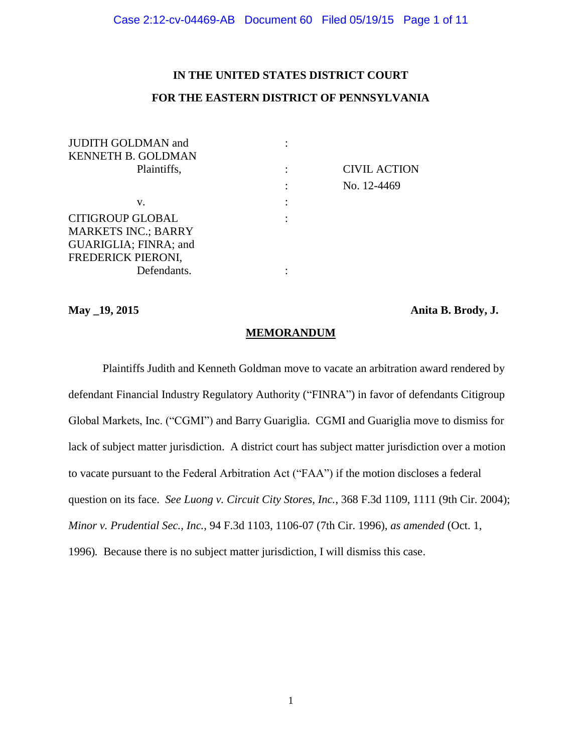## **IN THE UNITED STATES DISTRICT COURT**

## **FOR THE EASTERN DISTRICT OF PENNSYLVANIA**

| <b>JUDITH GOLDMAN and</b>  |                     |
|----------------------------|---------------------|
| <b>KENNETH B. GOLDMAN</b>  |                     |
| Plaintiffs,                | <b>CIVIL ACTION</b> |
|                            | No. 12-4469         |
| v.                         |                     |
| <b>CITIGROUP GLOBAL</b>    |                     |
| <b>MARKETS INC.; BARRY</b> |                     |
| GUARIGLIA; FINRA; and      |                     |
| FREDERICK PIERONI,         |                     |
| Defendants.                |                     |
|                            |                     |

**May \_19, 2015 Anita B. Brody, J.**

**MEMORANDUM**

Plaintiffs Judith and Kenneth Goldman move to vacate an arbitration award rendered by defendant Financial Industry Regulatory Authority ("FINRA") in favor of defendants Citigroup Global Markets, Inc. ("CGMI") and Barry Guariglia. CGMI and Guariglia move to dismiss for lack of subject matter jurisdiction. A district court has subject matter jurisdiction over a motion to vacate pursuant to the Federal Arbitration Act ("FAA") if the motion discloses a federal question on its face. *See Luong v. Circuit City Stores, Inc.*, 368 F.3d 1109, 1111 (9th Cir. 2004); *Minor v. Prudential Sec., Inc.*, 94 F.3d 1103, 1106-07 (7th Cir. 1996), *as amended* (Oct. 1, 1996)*.* Because there is no subject matter jurisdiction, I will dismiss this case.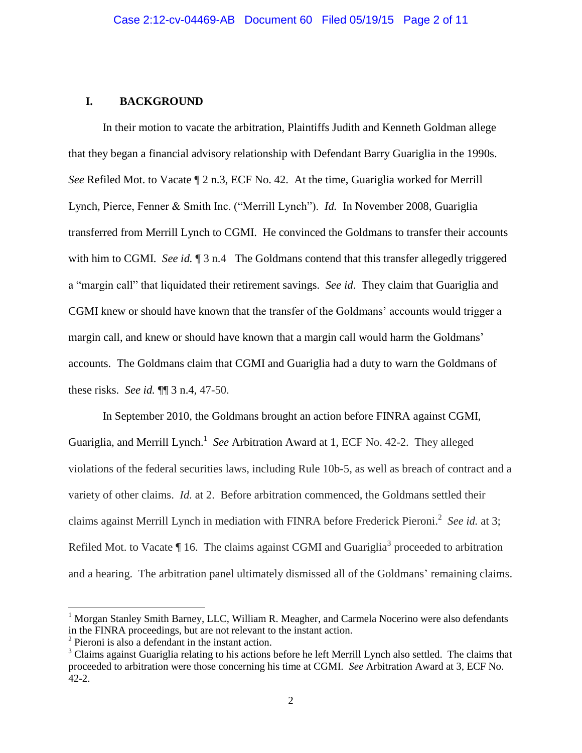## **I. BACKGROUND**

In their motion to vacate the arbitration, Plaintiffs Judith and Kenneth Goldman allege that they began a financial advisory relationship with Defendant Barry Guariglia in the 1990s. *See* Refiled Mot. to Vacate  $\P$  2 n.3, ECF No. 42. At the time, Guariglia worked for Merrill Lynch, Pierce, Fenner & Smith Inc. ("Merrill Lynch"). *Id.* In November 2008, Guariglia transferred from Merrill Lynch to CGMI. He convinced the Goldmans to transfer their accounts with him to CGMI. *See id.* 1 3 n.4 The Goldmans contend that this transfer allegedly triggered a "margin call" that liquidated their retirement savings. *See id*. They claim that Guariglia and CGMI knew or should have known that the transfer of the Goldmans' accounts would trigger a margin call, and knew or should have known that a margin call would harm the Goldmans' accounts. The Goldmans claim that CGMI and Guariglia had a duty to warn the Goldmans of these risks. *See id.* ¶¶ 3 n.4, 47-50.

In September 2010, the Goldmans brought an action before FINRA against CGMI, Guariglia, and Merrill Lynch.<sup>1</sup> See Arbitration Award at 1, ECF No. 42-2. They alleged violations of the federal securities laws, including Rule 10b-5, as well as breach of contract and a variety of other claims. *Id.* at 2. Before arbitration commenced, the Goldmans settled their claims against Merrill Lynch in mediation with FINRA before Frederick Pieroni.<sup>2</sup> See id. at 3; Refiled Mot. to Vacate  $\P$  16. The claims against CGMI and Guariglia<sup>3</sup> proceeded to arbitration and a hearing. The arbitration panel ultimately dismissed all of the Goldmans' remaining claims.

 $\overline{a}$ 

<sup>&</sup>lt;sup>1</sup> Morgan Stanley Smith Barney, LLC, William R. Meagher, and Carmela Nocerino were also defendants in the FINRA proceedings, but are not relevant to the instant action.

<sup>&</sup>lt;sup>2</sup> Pieroni is also a defendant in the instant action.

<sup>&</sup>lt;sup>3</sup> Claims against Guariglia relating to his actions before he left Merrill Lynch also settled. The claims that proceeded to arbitration were those concerning his time at CGMI. *See* Arbitration Award at 3, ECF No. 42-2.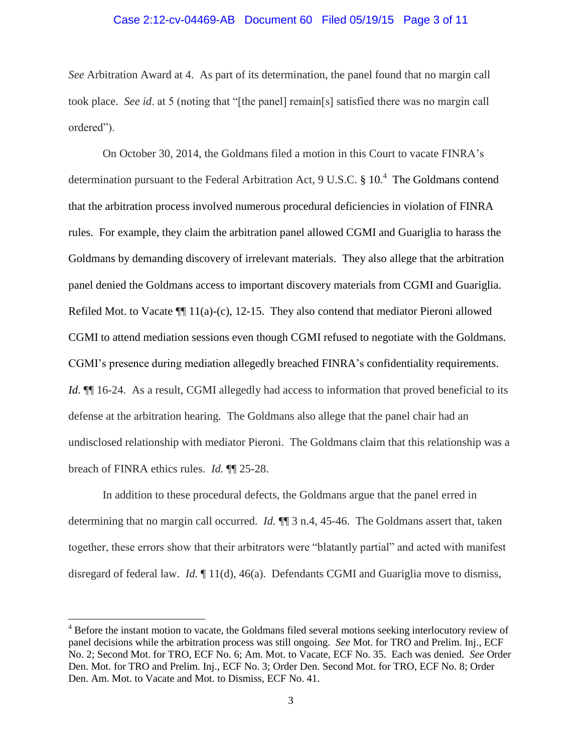# Case 2:12-cv-04469-AB Document 60 Filed 05/19/15 Page 3 of 11

*See* Arbitration Award at 4. As part of its determination, the panel found that no margin call took place. *See id*. at 5 (noting that "[the panel] remain[s] satisfied there was no margin call ordered").

On October 30, 2014, the Goldmans filed a motion in this Court to vacate FINRA's determination pursuant to the Federal Arbitration Act, 9 U.S.C. § 10.<sup>4</sup> The Goldmans contend that the arbitration process involved numerous procedural deficiencies in violation of FINRA rules. For example, they claim the arbitration panel allowed CGMI and Guariglia to harass the Goldmans by demanding discovery of irrelevant materials. They also allege that the arbitration panel denied the Goldmans access to important discovery materials from CGMI and Guariglia. Refiled Mot. to Vacate  $\P$ [11(a)-(c), 12-15. They also contend that mediator Pieroni allowed CGMI to attend mediation sessions even though CGMI refused to negotiate with the Goldmans. CGMI's presence during mediation allegedly breached FINRA's confidentiality requirements. *Id.*  $\P$  16-24. As a result, CGMI allegedly had access to information that proved beneficial to its defense at the arbitration hearing. The Goldmans also allege that the panel chair had an undisclosed relationship with mediator Pieroni. The Goldmans claim that this relationship was a breach of FINRA ethics rules. *Id.* ¶¶ 25-28.

In addition to these procedural defects, the Goldmans argue that the panel erred in determining that no margin call occurred. *Id.*  $\P$  3 n.4, 45-46. The Goldmans assert that, taken together, these errors show that their arbitrators were "blatantly partial" and acted with manifest disregard of federal law. *Id.* ¶ 11(d), 46(a).Defendants CGMI and Guariglia move to dismiss,

 $\overline{\phantom{a}}$ 

<sup>&</sup>lt;sup>4</sup> Before the instant motion to vacate, the Goldmans filed several motions seeking interlocutory review of panel decisions while the arbitration process was still ongoing. *See* Mot. for TRO and Prelim. Inj., ECF No. 2; Second Mot. for TRO, ECF No. 6; Am. Mot. to Vacate, ECF No. 35. Each was denied. *See* Order Den. Mot. for TRO and Prelim. Inj., ECF No. 3; Order Den. Second Mot. for TRO, ECF No. 8; Order Den. Am. Mot. to Vacate and Mot. to Dismiss, ECF No. 41.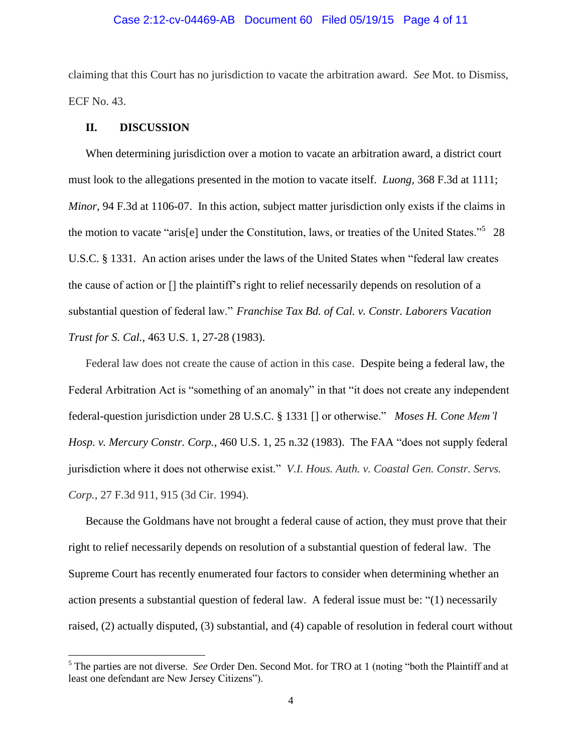# Case 2:12-cv-04469-AB Document 60 Filed 05/19/15 Page 4 of 11

claiming that this Court has no jurisdiction to vacate the arbitration award. *See* Mot. to Dismiss, ECF No. 43.

### **II. DISCUSSION**

 $\overline{\phantom{a}}$ 

When determining jurisdiction over a motion to vacate an arbitration award, a district court must look to the allegations presented in the motion to vacate itself. *Luong*, 368 F.3d at 1111; *Minor*, 94 F.3d at 1106-07. In this action, subject matter jurisdiction only exists if the claims in the motion to vacate "aris[e] under the Constitution, laws, or treaties of the United States."<sup>5</sup> 28 U.S.C. § 1331. An action arises under the laws of the United States when "federal law creates the cause of action or [] the plaintiff's right to relief necessarily depends on resolution of a substantial question of federal law." *Franchise Tax Bd. of Cal. v. Constr. Laborers Vacation Trust for S. Cal.*, 463 U.S. 1, 27-28 (1983).

Federal law does not create the cause of action in this case. Despite being a federal law, the Federal Arbitration Act is "something of an anomaly" in that "it does not create any independent federal-question jurisdiction under 28 U.S.C. § 1331 [] or otherwise." *Moses H. Cone Mem'l Hosp. v. Mercury Constr. Corp.*, 460 U.S. 1, 25 n.32 (1983). The FAA "does not supply federal jurisdiction where it does not otherwise exist." *V.I. Hous. Auth. v. Coastal Gen. Constr. Servs. Corp.*, 27 F.3d 911, 915 (3d Cir. 1994).

Because the Goldmans have not brought a federal cause of action, they must prove that their right to relief necessarily depends on resolution of a substantial question of federal law. The Supreme Court has recently enumerated four factors to consider when determining whether an action presents a substantial question of federal law. A federal issue must be: "(1) necessarily raised, (2) actually disputed, (3) substantial, and (4) capable of resolution in federal court without

<sup>5</sup> The parties are not diverse. *See* Order Den. Second Mot. for TRO at 1 (noting "both the Plaintiff and at least one defendant are New Jersey Citizens").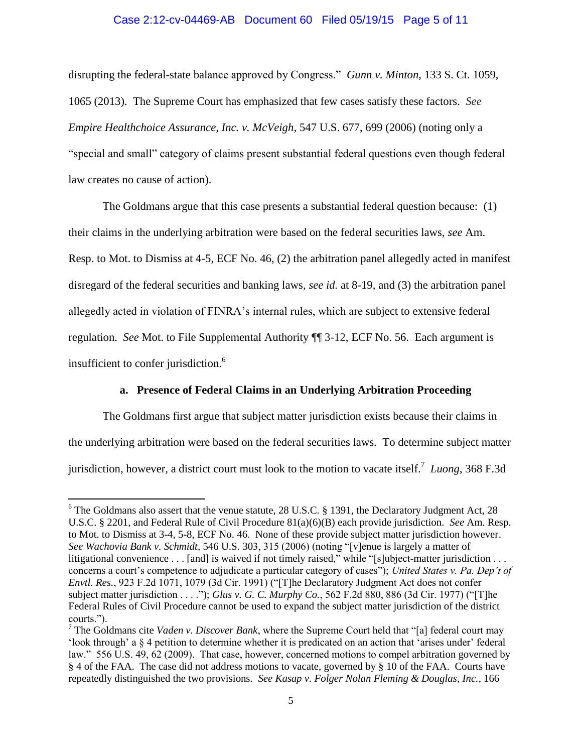# Case 2:12-cv-04469-AB Document 60 Filed 05/19/15 Page 5 of 11

disrupting the federal-state balance approved by Congress." *Gunn v. Minton*, 133 S. Ct. 1059, 1065 (2013). The Supreme Court has emphasized that few cases satisfy these factors. *See Empire Healthchoice Assurance, Inc. v. McVeigh*, 547 U.S. 677, 699 (2006) (noting only a "special and small" category of claims present substantial federal questions even though federal law creates no cause of action).

The Goldmans argue that this case presents a substantial federal question because: (1) their claims in the underlying arbitration were based on the federal securities laws, *see* Am. Resp. to Mot. to Dismiss at 4-5, ECF No. 46, (2) the arbitration panel allegedly acted in manifest disregard of the federal securities and banking laws, *see id.* at 8-19, and (3) the arbitration panel allegedly acted in violation of FINRA's internal rules, which are subject to extensive federal regulation. *See* Mot. to File Supplemental Authority ¶¶ 3-12, ECF No. 56. Each argument is insufficient to confer jurisdiction. 6

### **a. Presence of Federal Claims in an Underlying Arbitration Proceeding**

The Goldmans first argue that subject matter jurisdiction exists because their claims in the underlying arbitration were based on the federal securities laws. To determine subject matter jurisdiction, however, a district court must look to the motion to vacate itself. 7 *Luong*, 368 F.3d

l

<sup>&</sup>lt;sup>6</sup> The Goldmans also assert that the venue statute, 28 U.S.C. § 1391, the Declaratory Judgment Act, 28 U.S.C. § 2201, and Federal Rule of Civil Procedure 81(a)(6)(B) each provide jurisdiction. *See* Am. Resp. to Mot. to Dismiss at 3-4, 5-8, ECF No. 46. None of these provide subject matter jurisdiction however. *See Wachovia Bank v. Schmidt*, 546 U.S. 303, 315 (2006) (noting "[v]enue is largely a matter of litigational convenience . . . [and] is waived if not timely raised," while "[s]ubject-matter jurisdiction . . . concerns a court's competence to adjudicate a particular category of cases"); *United States v. Pa. Dep't of Envtl. Res.*, 923 F.2d 1071, 1079 (3d Cir. 1991) ("[T]he Declaratory Judgment Act does not confer subject matter jurisdiction . . . ."); *Glus v. G. C. Murphy Co.*, 562 F.2d 880, 886 (3d Cir. 1977) ("[T]he Federal Rules of Civil Procedure cannot be used to expand the subject matter jurisdiction of the district courts.").

<sup>7</sup> The Goldmans cite *Vaden v. Discover Bank*, where the Supreme Court held that "[a] federal court may 'look through' a § 4 petition to determine whether it is predicated on an action that 'arises under' federal law." 556 U.S. 49, 62 (2009). That case, however, concerned motions to compel arbitration governed by § 4 of the FAA. The case did not address motions to vacate, governed by § 10 of the FAA. Courts have repeatedly distinguished the two provisions. *See Kasap v. Folger Nolan Fleming & Douglas, Inc.*, 166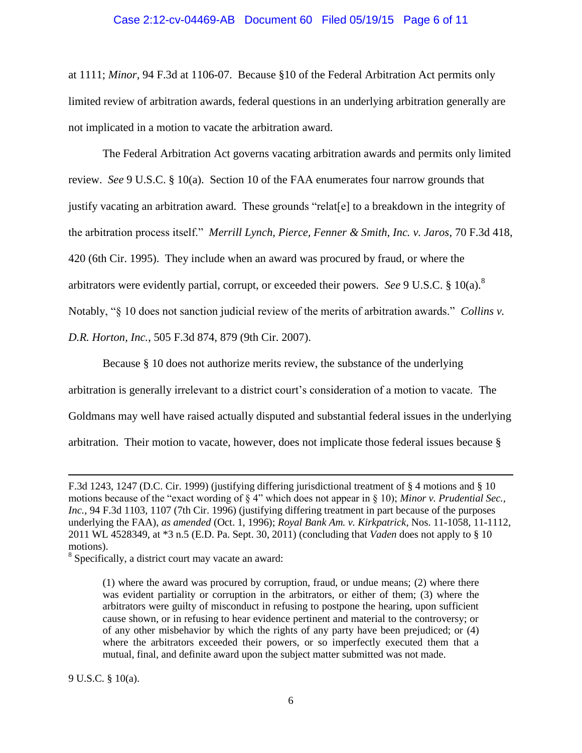### Case 2:12-cv-04469-AB Document 60 Filed 05/19/15 Page 6 of 11

at 1111; *Minor*, 94 F.3d at 1106-07. Because §10 of the Federal Arbitration Act permits only limited review of arbitration awards, federal questions in an underlying arbitration generally are not implicated in a motion to vacate the arbitration award.

The Federal Arbitration Act governs vacating arbitration awards and permits only limited review. *See* 9 U.S.C. § 10(a). Section 10 of the FAA enumerates four narrow grounds that justify vacating an arbitration award. These grounds "relat[e] to a breakdown in the integrity of the arbitration process itself." *Merrill Lynch, Pierce, Fenner & Smith, Inc. v. Jaros*, 70 F.3d 418, 420 (6th Cir. 1995). They include when an award was procured by fraud, or where the arbitrators were evidently partial, corrupt, or exceeded their powers. *See* 9 U.S.C. § 10(a).<sup>8</sup> Notably, "§ 10 does not sanction judicial review of the merits of arbitration awards." *Collins v. D.R. Horton, Inc.*, 505 F.3d 874, 879 (9th Cir. 2007).

Because § 10 does not authorize merits review, the substance of the underlying

arbitration is generally irrelevant to a district court's consideration of a motion to vacate. The

Goldmans may well have raised actually disputed and substantial federal issues in the underlying

arbitration. Their motion to vacate, however, does not implicate those federal issues because §

<sup>8</sup> Specifically, a district court may vacate an award:

9 U.S.C. § 10(a).

 $\overline{\phantom{a}}$ 

F.3d 1243, 1247 (D.C. Cir. 1999) (justifying differing jurisdictional treatment of § 4 motions and § 10 motions because of the "exact wording of § 4" which does not appear in § 10); *Minor v. Prudential Sec., Inc.*, 94 F.3d 1103, 1107 (7th Cir. 1996) (justifying differing treatment in part because of the purposes underlying the FAA), *as amended* (Oct. 1, 1996); *Royal Bank Am. v. Kirkpatrick*, Nos. 11-1058, 11-1112, 2011 WL 4528349, at \*3 n.5 (E.D. Pa. Sept. 30, 2011) (concluding that *Vaden* does not apply to § 10 motions).

<sup>(1)</sup> where the award was procured by corruption, fraud, or undue means; (2) where there was evident partiality or corruption in the arbitrators, or either of them; (3) where the arbitrators were guilty of misconduct in refusing to postpone the hearing, upon sufficient cause shown, or in refusing to hear evidence pertinent and material to the controversy; or of any other misbehavior by which the rights of any party have been prejudiced; or (4) where the arbitrators exceeded their powers, or so imperfectly executed them that a mutual, final, and definite award upon the subject matter submitted was not made.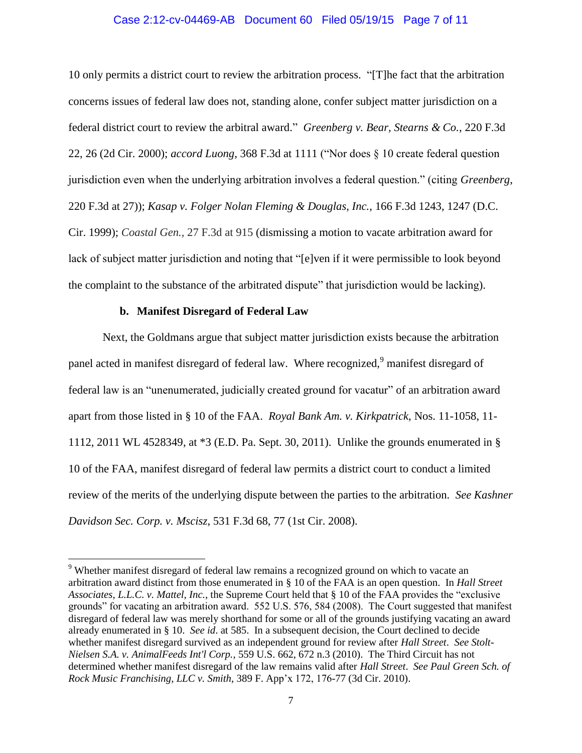# Case 2:12-cv-04469-AB Document 60 Filed 05/19/15 Page 7 of 11

10 only permits a district court to review the arbitration process. "[T]he fact that the arbitration concerns issues of federal law does not, standing alone, confer subject matter jurisdiction on a federal district court to review the arbitral award." *Greenberg v. Bear, Stearns & Co.*, 220 F.3d 22, 26 (2d Cir. 2000); *accord Luong*, 368 F.3d at 1111 ("Nor does § 10 create federal question jurisdiction even when the underlying arbitration involves a federal question." (citing *Greenberg*, 220 F.3d at 27)); *Kasap v. Folger Nolan Fleming & Douglas, Inc.*, 166 F.3d 1243, 1247 (D.C. Cir. 1999); *Coastal Gen.*, 27 F.3d at 915 (dismissing a motion to vacate arbitration award for lack of subject matter jurisdiction and noting that "[e]ven if it were permissible to look beyond the complaint to the substance of the arbitrated dispute" that jurisdiction would be lacking).

### **b. Manifest Disregard of Federal Law**

 $\overline{\phantom{a}}$ 

Next, the Goldmans argue that subject matter jurisdiction exists because the arbitration panel acted in manifest disregard of federal law. Where recognized,<sup>9</sup> manifest disregard of federal law is an "unenumerated, judicially created ground for vacatur" of an arbitration award apart from those listed in § 10 of the FAA. *Royal Bank Am. v. Kirkpatrick*, Nos. 11-1058, 11- 1112, 2011 WL 4528349, at \*3 (E.D. Pa. Sept. 30, 2011). Unlike the grounds enumerated in § 10 of the FAA, manifest disregard of federal law permits a district court to conduct a limited review of the merits of the underlying dispute between the parties to the arbitration. *See Kashner Davidson Sec. Corp. v. Mscisz*, 531 F.3d 68, 77 (1st Cir. 2008).

<sup>&</sup>lt;sup>9</sup> Whether manifest disregard of federal law remains a recognized ground on which to vacate an arbitration award distinct from those enumerated in § 10 of the FAA is an open question. In *Hall Street Associates, L.L.C. v. Mattel, Inc.*, the Supreme Court held that § 10 of the FAA provides the "exclusive grounds" for vacating an arbitration award. 552 U.S. 576, 584 (2008). The Court suggested that manifest disregard of federal law was merely shorthand for some or all of the grounds justifying vacating an award already enumerated in § 10. *See id*. at 585. In a subsequent decision, the Court declined to decide whether manifest disregard survived as an independent ground for review after *Hall Street*. *See Stolt-Nielsen S.A. v. AnimalFeeds Int'l Corp.*, 559 U.S. 662, 672 n.3 (2010). The Third Circuit has not determined whether manifest disregard of the law remains valid after *Hall Street*. *See Paul Green Sch. of Rock Music Franchising, LLC v. Smith*, 389 F. App'x 172, 176-77 (3d Cir. 2010).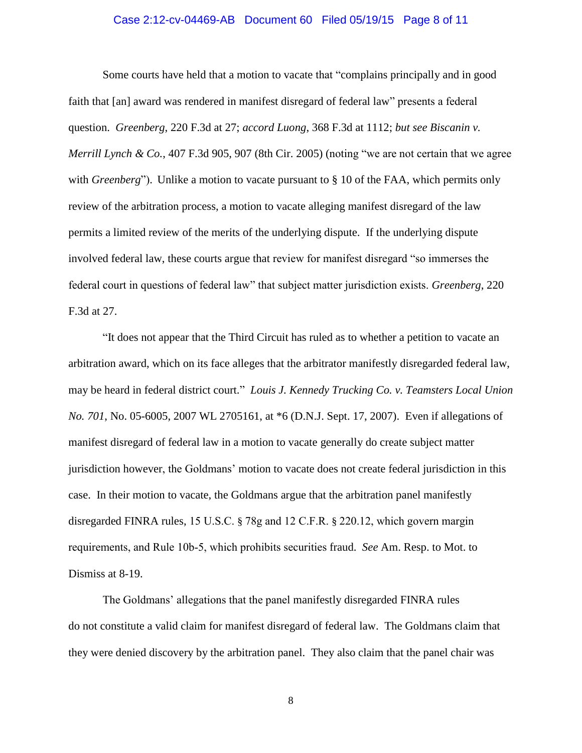#### Case 2:12-cv-04469-AB Document 60 Filed 05/19/15 Page 8 of 11

Some courts have held that a motion to vacate that "complains principally and in good faith that [an] award was rendered in manifest disregard of federal law" presents a federal question. *Greenberg*, 220 F.3d at 27; *accord Luong*, 368 F.3d at 1112; *but see Biscanin v. Merrill Lynch & Co.*, 407 F.3d 905, 907 (8th Cir. 2005) (noting "we are not certain that we agree with *Greenberg*"). Unlike a motion to vacate pursuant to § 10 of the FAA, which permits only review of the arbitration process, a motion to vacate alleging manifest disregard of the law permits a limited review of the merits of the underlying dispute. If the underlying dispute involved federal law, these courts argue that review for manifest disregard "so immerses the federal court in questions of federal law" that subject matter jurisdiction exists. *Greenberg*, 220 F.3d at 27.

"It does not appear that the Third Circuit has ruled as to whether a petition to vacate an arbitration award, which on its face alleges that the arbitrator manifestly disregarded federal law, may be heard in federal district court." *Louis J. Kennedy Trucking Co. v. Teamsters Local Union No. 701*, No. 05-6005, 2007 WL 2705161, at \*6 (D.N.J. Sept. 17, 2007). Even if allegations of manifest disregard of federal law in a motion to vacate generally do create subject matter jurisdiction however, the Goldmans' motion to vacate does not create federal jurisdiction in this case. In their motion to vacate, the Goldmans argue that the arbitration panel manifestly disregarded FINRA rules, 15 U.S.C. § 78g and 12 C.F.R. § 220.12, which govern margin requirements, and Rule 10b-5, which prohibits securities fraud. *See* Am. Resp. to Mot. to Dismiss at 8-19.

The Goldmans' allegations that the panel manifestly disregarded FINRA rules do not constitute a valid claim for manifest disregard of federal law. The Goldmans claim that they were denied discovery by the arbitration panel. They also claim that the panel chair was

8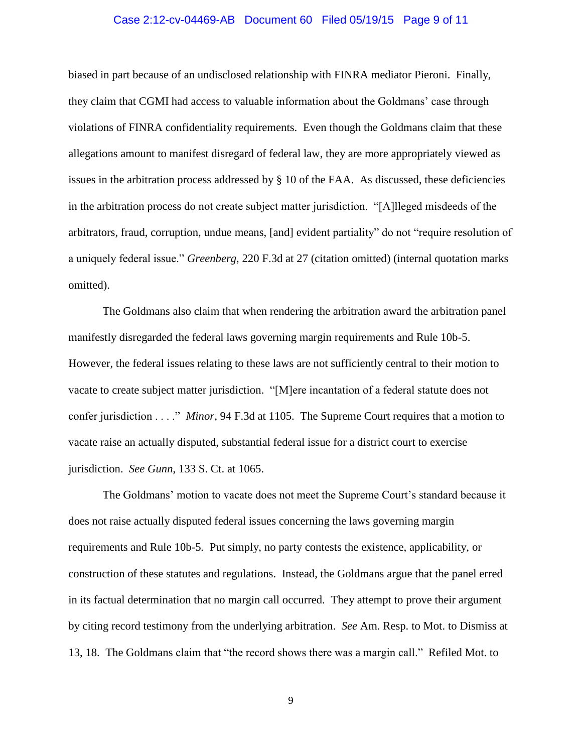#### Case 2:12-cv-04469-AB Document 60 Filed 05/19/15 Page 9 of 11

biased in part because of an undisclosed relationship with FINRA mediator Pieroni. Finally, they claim that CGMI had access to valuable information about the Goldmans' case through violations of FINRA confidentiality requirements. Even though the Goldmans claim that these allegations amount to manifest disregard of federal law, they are more appropriately viewed as issues in the arbitration process addressed by § 10 of the FAA. As discussed, these deficiencies in the arbitration process do not create subject matter jurisdiction. "[A]lleged misdeeds of the arbitrators, fraud, corruption, undue means, [and] evident partiality" do not "require resolution of a uniquely federal issue." *Greenberg*, 220 F.3d at 27 (citation omitted) (internal quotation marks omitted).

The Goldmans also claim that when rendering the arbitration award the arbitration panel manifestly disregarded the federal laws governing margin requirements and Rule 10b-5. However, the federal issues relating to these laws are not sufficiently central to their motion to vacate to create subject matter jurisdiction. "[M]ere incantation of a federal statute does not confer jurisdiction . . . ." *Minor*, 94 F.3d at 1105. The Supreme Court requires that a motion to vacate raise an actually disputed, substantial federal issue for a district court to exercise jurisdiction. *See Gunn*, 133 S. Ct. at 1065.

The Goldmans' motion to vacate does not meet the Supreme Court's standard because it does not raise actually disputed federal issues concerning the laws governing margin requirements and Rule 10b-5*.* Put simply, no party contests the existence, applicability, or construction of these statutes and regulations. Instead, the Goldmans argue that the panel erred in its factual determination that no margin call occurred. They attempt to prove their argument by citing record testimony from the underlying arbitration. *See* Am. Resp. to Mot. to Dismiss at 13, 18. The Goldmans claim that "the record shows there was a margin call." Refiled Mot. to

9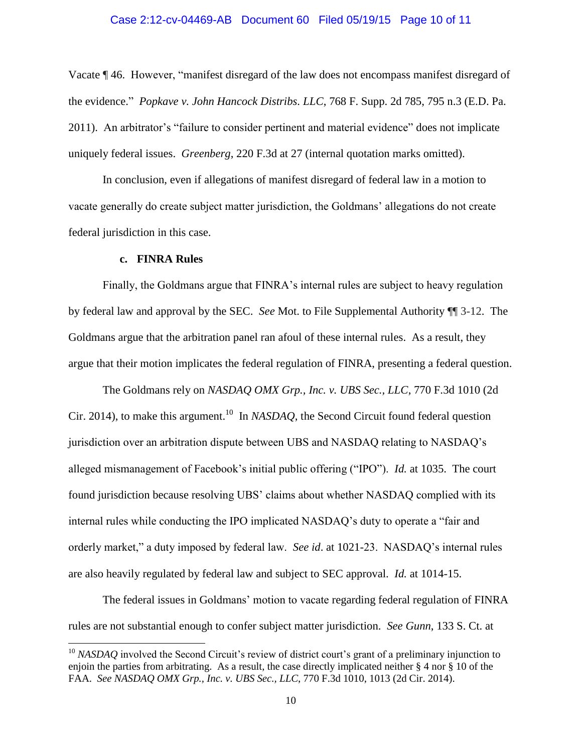#### Case 2:12-cv-04469-AB Document 60 Filed 05/19/15 Page 10 of 11

Vacate ¶ 46. However, "manifest disregard of the law does not encompass manifest disregard of the evidence." *Popkave v. John Hancock Distribs. LLC*, 768 F. Supp. 2d 785, 795 n.3 (E.D. Pa. 2011). An arbitrator's "failure to consider pertinent and material evidence" does not implicate uniquely federal issues. *Greenberg*, 220 F.3d at 27 (internal quotation marks omitted).

In conclusion, even if allegations of manifest disregard of federal law in a motion to vacate generally do create subject matter jurisdiction, the Goldmans' allegations do not create federal jurisdiction in this case.

#### **c. FINRA Rules**

 $\overline{a}$ 

Finally, the Goldmans argue that FINRA's internal rules are subject to heavy regulation by federal law and approval by the SEC. *See* Mot. to File Supplemental Authority ¶¶ 3-12. The Goldmans argue that the arbitration panel ran afoul of these internal rules. As a result, they argue that their motion implicates the federal regulation of FINRA, presenting a federal question.

The Goldmans rely on *NASDAQ OMX Grp., Inc. v. UBS Sec., LLC*, 770 F.3d 1010 (2d Cir. 2014), to make this argument. 10 In *NASDAQ*, the Second Circuit found federal question jurisdiction over an arbitration dispute between UBS and NASDAQ relating to NASDAQ's alleged mismanagement of Facebook's initial public offering ("IPO"). *Id.* at 1035. The court found jurisdiction because resolving UBS' claims about whether NASDAQ complied with its internal rules while conducting the IPO implicated NASDAQ's duty to operate a "fair and orderly market," a duty imposed by federal law. *See id*. at 1021-23. NASDAQ's internal rules are also heavily regulated by federal law and subject to SEC approval. *Id.* at 1014-15.

The federal issues in Goldmans' motion to vacate regarding federal regulation of FINRA rules are not substantial enough to confer subject matter jurisdiction. *See Gunn*, 133 S. Ct. at

<sup>&</sup>lt;sup>10</sup> *NASDAQ* involved the Second Circuit's review of district court's grant of a preliminary injunction to enjoin the parties from arbitrating. As a result, the case directly implicated neither § 4 nor § 10 of the FAA. *See NASDAQ OMX Grp., Inc. v. UBS Sec., LLC*, 770 F.3d 1010, 1013 (2d Cir. 2014).